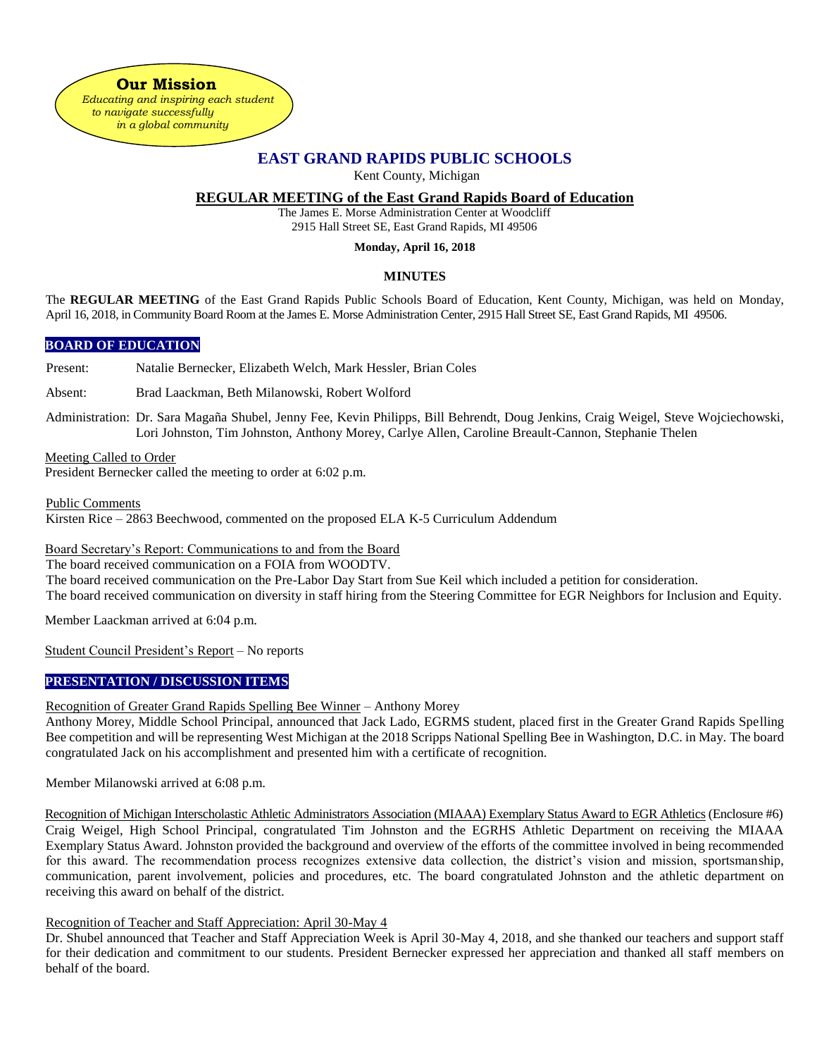**Our Mission**  *Educating and inspiring each student to navigate successfully in a global community*

# **EAST GRAND RAPIDS PUBLIC SCHOOLS**

Kent County, Michigan

# **REGULAR MEETING of the East Grand Rapids Board of Education**

The James E. Morse Administration Center at Woodcliff 2915 Hall Street SE, East Grand Rapids, MI 49506

### **Monday, April 16, 2018**

## **MINUTES**

The **REGULAR MEETING** of the East Grand Rapids Public Schools Board of Education, Kent County, Michigan, was held on Monday, April 16, 2018, in Community Board Room at the James E. Morse Administration Center, 2915 Hall Street SE, East Grand Rapids, MI 49506.

### **BOARD OF EDUCATION**

Present: Natalie Bernecker, Elizabeth Welch, Mark Hessler, Brian Coles

Absent: Brad Laackman, Beth Milanowski, Robert Wolford

Administration: Dr. Sara Magaña Shubel, Jenny Fee, Kevin Philipps, Bill Behrendt, Doug Jenkins, Craig Weigel, Steve Wojciechowski, Lori Johnston, Tim Johnston, Anthony Morey, Carlye Allen, Caroline Breault-Cannon, Stephanie Thelen

Meeting Called to Order President Bernecker called the meeting to order at 6:02 p.m.

Public Comments

Kirsten Rice – 2863 Beechwood, commented on the proposed ELA K-5 Curriculum Addendum

Board Secretary's Report: Communications to and from the Board

The board received communication on a FOIA from WOODTV.

The board received communication on the Pre-Labor Day Start from Sue Keil which included a petition for consideration.

The board received communication on diversity in staff hiring from the Steering Committee for EGR Neighbors for Inclusion and Equity.

Member Laackman arrived at 6:04 p.m.

Student Council President's Report – No reports

# **PRESENTATION / DISCUSSION ITEMS**

Recognition of Greater Grand Rapids Spelling Bee Winner – Anthony Morey

Anthony Morey, Middle School Principal, announced that Jack Lado, EGRMS student, placed first in the Greater Grand Rapids Spelling Bee competition and will be representing West Michigan at the 2018 Scripps National Spelling Bee in Washington, D.C. in May. The board congratulated Jack on his accomplishment and presented him with a certificate of recognition.

Member Milanowski arrived at 6:08 p.m.

Recognition of Michigan Interscholastic Athletic Administrators Association (MIAAA) Exemplary Status Award to EGR Athletics (Enclosure #6) Craig Weigel, High School Principal, congratulated Tim Johnston and the EGRHS Athletic Department on receiving the MIAAA Exemplary Status Award. Johnston provided the background and overview of the efforts of the committee involved in being recommended for this award. The recommendation process recognizes extensive data collection, the district's vision and mission, sportsmanship, communication, parent involvement, policies and procedures, etc. The board congratulated Johnston and the athletic department on receiving this award on behalf of the district.

Recognition of Teacher and Staff Appreciation: April 30-May 4

Dr. Shubel announced that Teacher and Staff Appreciation Week is April 30-May 4, 2018, and she thanked our teachers and support staff for their dedication and commitment to our students. President Bernecker expressed her appreciation and thanked all staff members on behalf of the board.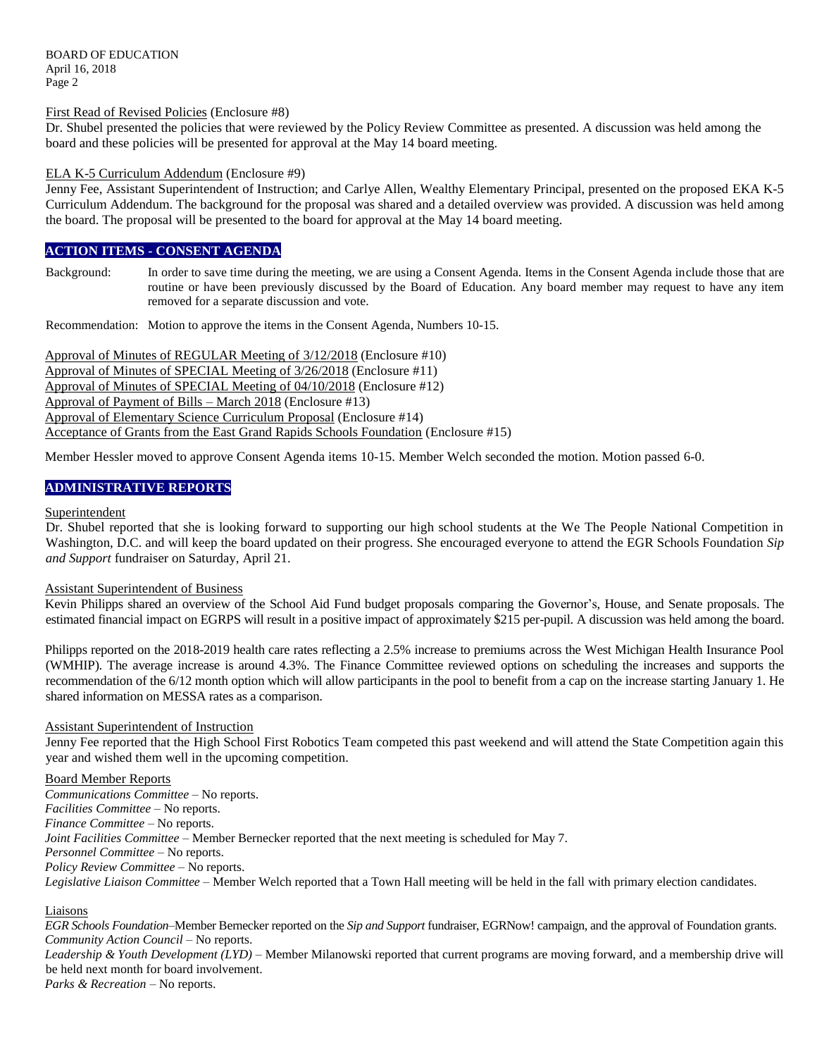BOARD OF EDUCATION April 16, 2018 Page 2

First Read of Revised Policies (Enclosure #8)

Dr. Shubel presented the policies that were reviewed by the Policy Review Committee as presented. A discussion was held among the board and these policies will be presented for approval at the May 14 board meeting.

#### ELA K-5 Curriculum Addendum (Enclosure #9)

Jenny Fee, Assistant Superintendent of Instruction; and Carlye Allen, Wealthy Elementary Principal, presented on the proposed EKA K-5 Curriculum Addendum. The background for the proposal was shared and a detailed overview was provided. A discussion was held among the board. The proposal will be presented to the board for approval at the May 14 board meeting.

### **ACTION ITEMS - CONSENT AGENDA**

Background: In order to save time during the meeting, we are using a Consent Agenda. Items in the Consent Agenda include those that are routine or have been previously discussed by the Board of Education. Any board member may request to have any item removed for a separate discussion and vote.

Recommendation: Motion to approve the items in the Consent Agenda, Numbers 10-15.

Approval of Minutes of REGULAR Meeting of 3/12/2018 (Enclosure #10) Approval of Minutes of SPECIAL Meeting of 3/26/2018 (Enclosure #11) Approval of Minutes of SPECIAL Meeting of 04/10/2018 (Enclosure #12) Approval of Payment of Bills – March 2018 (Enclosure #13) Approval of Elementary Science Curriculum Proposal (Enclosure #14) Acceptance of Grants from the East Grand Rapids Schools Foundation (Enclosure #15)

Member Hessler moved to approve Consent Agenda items 10-15. Member Welch seconded the motion. Motion passed 6-0.

## **ADMINISTRATIVE REPORTS**

#### **Superintendent**

Dr. Shubel reported that she is looking forward to supporting our high school students at the We The People National Competition in Washington, D.C. and will keep the board updated on their progress. She encouraged everyone to attend the EGR Schools Foundation *Sip and Support* fundraiser on Saturday, April 21.

#### Assistant Superintendent of Business

Kevin Philipps shared an overview of the School Aid Fund budget proposals comparing the Governor's, House, and Senate proposals. The estimated financial impact on EGRPS will result in a positive impact of approximately \$215 per-pupil. A discussion was held among the board.

Philipps reported on the 2018-2019 health care rates reflecting a 2.5% increase to premiums across the West Michigan Health Insurance Pool (WMHIP). The average increase is around 4.3%. The Finance Committee reviewed options on scheduling the increases and supports the recommendation of the 6/12 month option which will allow participants in the pool to benefit from a cap on the increase starting January 1. He shared information on MESSA rates as a comparison.

#### Assistant Superintendent of Instruction

Jenny Fee reported that the High School First Robotics Team competed this past weekend and will attend the State Competition again this year and wished them well in the upcoming competition.

#### Board Member Reports

*Communications Committee –* No reports. *Facilities Committee –* No reports. *Finance Committee –* No reports. *Joint Facilities Committee –* Member Bernecker reported that the next meeting is scheduled for May 7. *Personnel Committee –* No reports. *Policy Review Committee –* No reports. *Legislative Liaison Committee* – Member Welch reported that a Town Hall meeting will be held in the fall with primary election candidates.

### Liaisons

*EGR Schools Foundation–*Member Bernecker reported on the *Sip and Support* fundraiser, EGRNow! campaign, and the approval of Foundation grants. *Community Action Council –* No reports.

*Leadership & Youth Development (LYD)* – Member Milanowski reported that current programs are moving forward, and a membership drive will be held next month for board involvement.

*Parks & Recreation* – No reports.